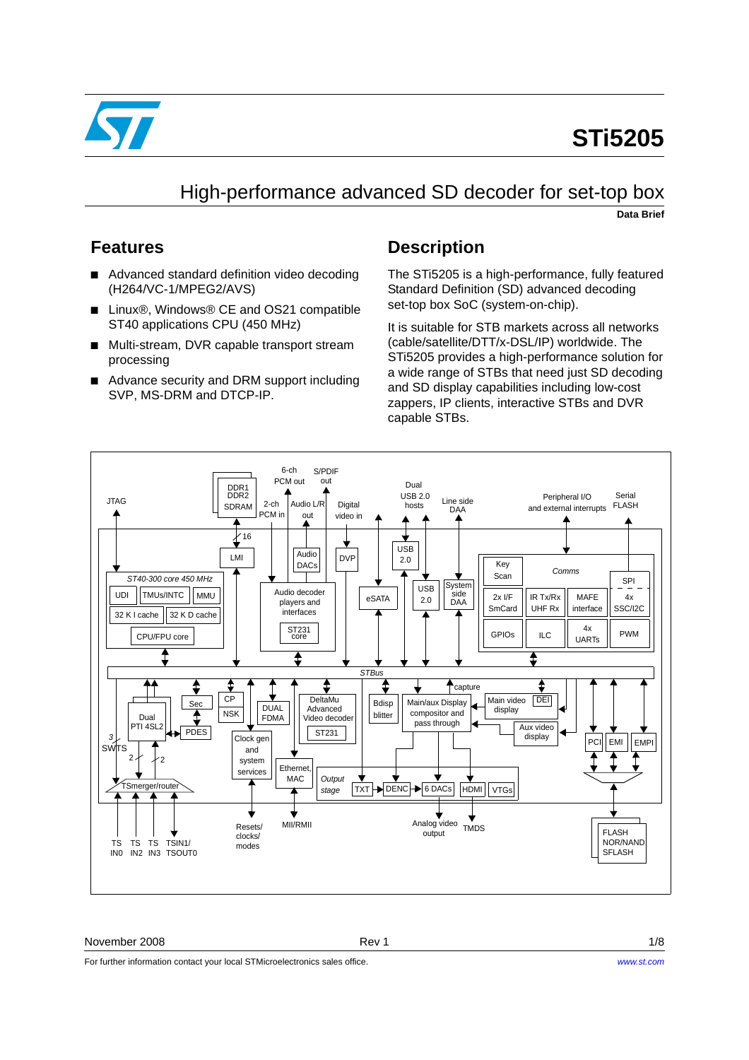

# **STi5205**

## High-performance advanced SD decoder for set-top box

**Data Brief**

## **Features**

- Advanced standard definition video decoding (H264/VC-1/MPEG2/AVS)
- Linux<sup>®</sup>, Windows<sup>®</sup> CE and OS21 compatible ST40 applications CPU (450 MHz)
- Multi-stream, DVR capable transport stream processing
- Advance security and DRM support including SVP, MS-DRM and DTCP-IP.

## **Description**

The STi5205 is a high-performance, fully featured Standard Definition (SD) advanced decoding set-top box SoC (system-on-chip).

It is suitable for STB markets across all networks (cable/satellite/DTT/x-DSL/IP) worldwide. The STi5205 provides a high-performance solution for a wide range of STBs that need just SD decoding and SD display capabilities including low-cost zappers, IP clients, interactive STBs and DVR capable STBs.



### November 2008 **Rev 1** 1/8

For further information contact your local STMicroelectronics sales office.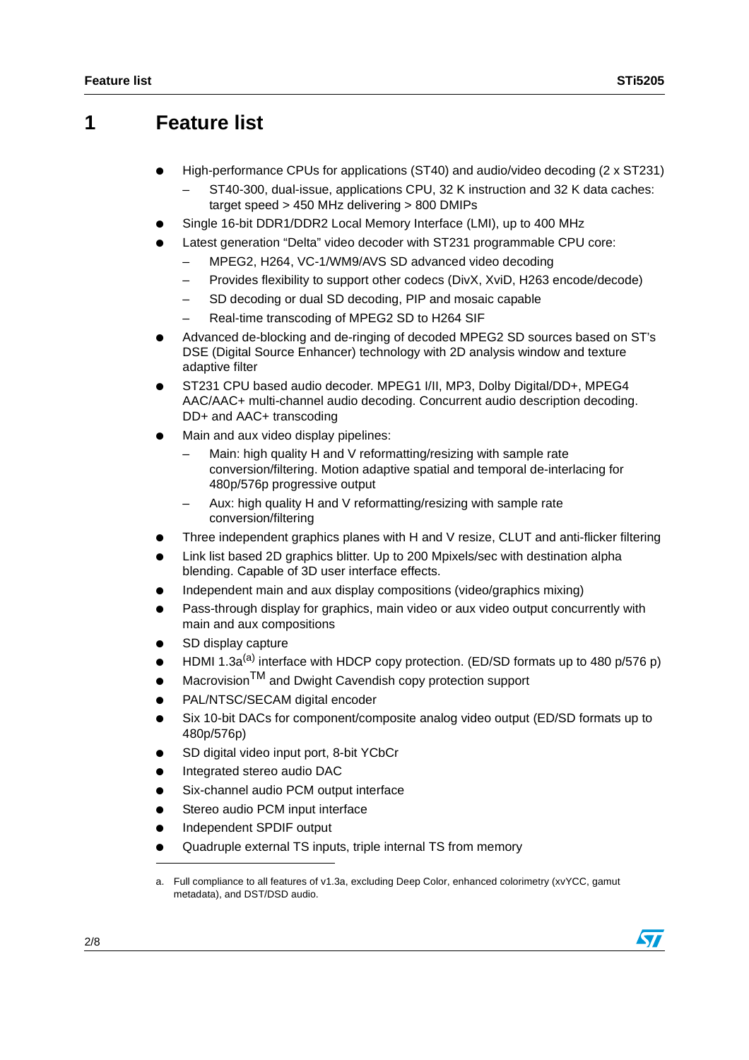## **1 Feature list**

- High-performance CPUs for applications (ST40) and audio/video decoding (2 x ST231)
	- ST40-300, dual-issue, applications CPU, 32 K instruction and 32 K data caches: target speed > 450 MHz delivering > 800 DMIPs
- Single 16-bit DDR1/DDR2 Local Memory Interface (LMI), up to 400 MHz
- Latest generation "Delta" video decoder with ST231 programmable CPU core:
	- MPEG2, H264, VC-1/WM9/AVS SD advanced video decoding
	- Provides flexibility to support other codecs (DivX, XviD, H263 encode/decode)
	- SD decoding or dual SD decoding, PIP and mosaic capable
	- Real-time transcoding of MPEG2 SD to H264 SIF
- Advanced de-blocking and de-ringing of decoded MPEG2 SD sources based on ST's DSE (Digital Source Enhancer) technology with 2D analysis window and texture adaptive filter
- ST231 CPU based audio decoder. MPEG1 I/II, MP3, Dolby Digital/DD+, MPEG4 AAC/AAC+ multi-channel audio decoding. Concurrent audio description decoding. DD+ and AAC+ transcoding
- Main and aux video display pipelines:
	- Main: high quality H and V reformatting/resizing with sample rate conversion/filtering. Motion adaptive spatial and temporal de-interlacing for 480p/576p progressive output
	- Aux: high quality H and V reformatting/resizing with sample rate conversion/filtering
- Three independent graphics planes with H and V resize, CLUT and anti-flicker filtering
- Link list based 2D graphics blitter. Up to 200 Mpixels/sec with destination alpha blending. Capable of 3D user interface effects.
- Independent main and aux display compositions (video/graphics mixing)
- Pass-through display for graphics, main video or aux video output concurrently with main and aux compositions
- SD display capture
- HDMI 1.3a<sup>(a)</sup> interface with HDCP copy protection. (ED/SD formats up to 480 p/576 p)
- Macrovision<sup>TM</sup> and Dwight Cavendish copy protection support
- PAL/NTSC/SECAM digital encoder
- Six 10-bit DACs for component/composite analog video output (ED/SD formats up to 480p/576p)
- SD digital video input port, 8-bit YCbCr
- Integrated stereo audio DAC
- Six-channel audio PCM output interface
- Stereo audio PCM input interface
- Independent SPDIF output
- Quadruple external TS inputs, triple internal TS from memory

a. Full compliance to all features of v1.3a, excluding Deep Color, enhanced colorimetry (xvYCC, gamut metadata), and DST/DSD audio.

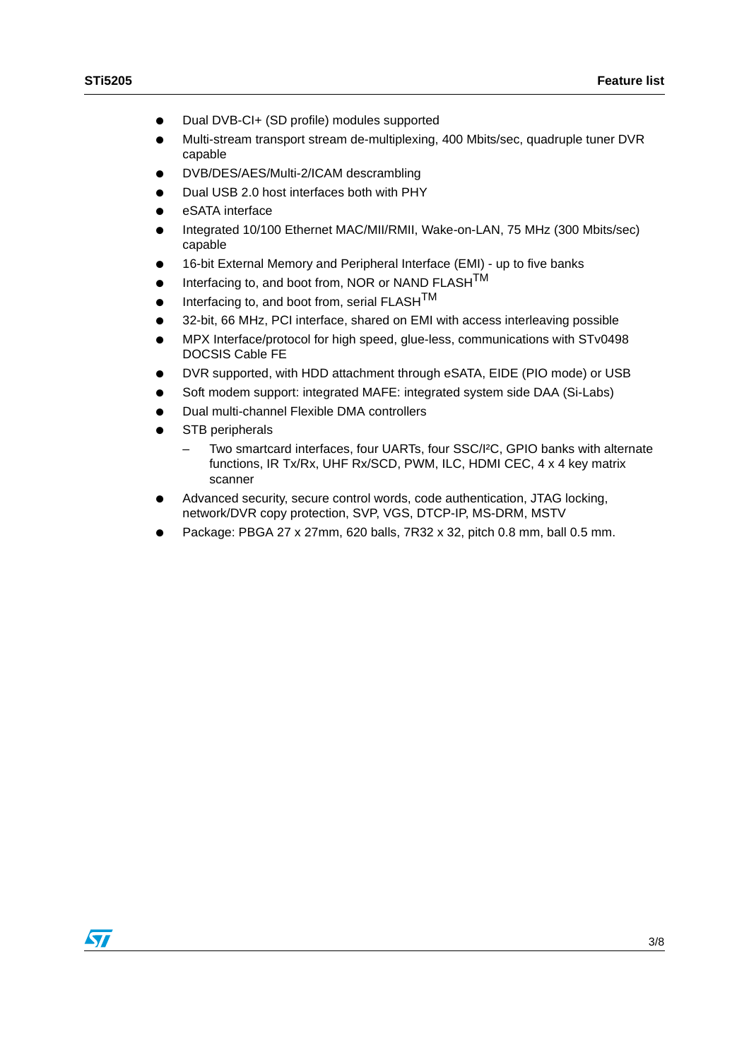- Dual DVB-CI+ (SD profile) modules supported
- Multi-stream transport stream de-multiplexing, 400 Mbits/sec, quadruple tuner DVR capable
- DVB/DES/AES/Multi-2/ICAM descrambling
- Dual USB 2.0 host interfaces both with PHY
- eSATA interface
- Integrated 10/100 Ethernet MAC/MII/RMII, Wake-on-LAN, 75 MHz (300 Mbits/sec) capable
- 16-bit External Memory and Peripheral Interface (EMI) up to five banks
- Interfacing to, and boot from, NOR or NAND FLASHTM
- Interfacing to, and boot from, serial  $FLASH^{TM}$
- 32-bit, 66 MHz, PCI interface, shared on EMI with access interleaving possible
- MPX Interface/protocol for high speed, glue-less, communications with STv0498 DOCSIS Cable FE
- DVR supported, with HDD attachment through eSATA, EIDE (PIO mode) or USB
- Soft modem support: integrated MAFE: integrated system side DAA (Si-Labs)
- Dual multi-channel Flexible DMA controllers
- STB peripherals
	- Two smartcard interfaces, four UARTs, four SSC/I²C, GPIO banks with alternate functions, IR Tx/Rx, UHF Rx/SCD, PWM, ILC, HDMI CEC, 4 x 4 key matrix scanner
- Advanced security, secure control words, code authentication, JTAG locking, network/DVR copy protection, SVP, VGS, DTCP-IP, MS-DRM, MSTV
- Package: PBGA 27 x 27mm, 620 balls, 7R32 x 32, pitch 0.8 mm, ball 0.5 mm.

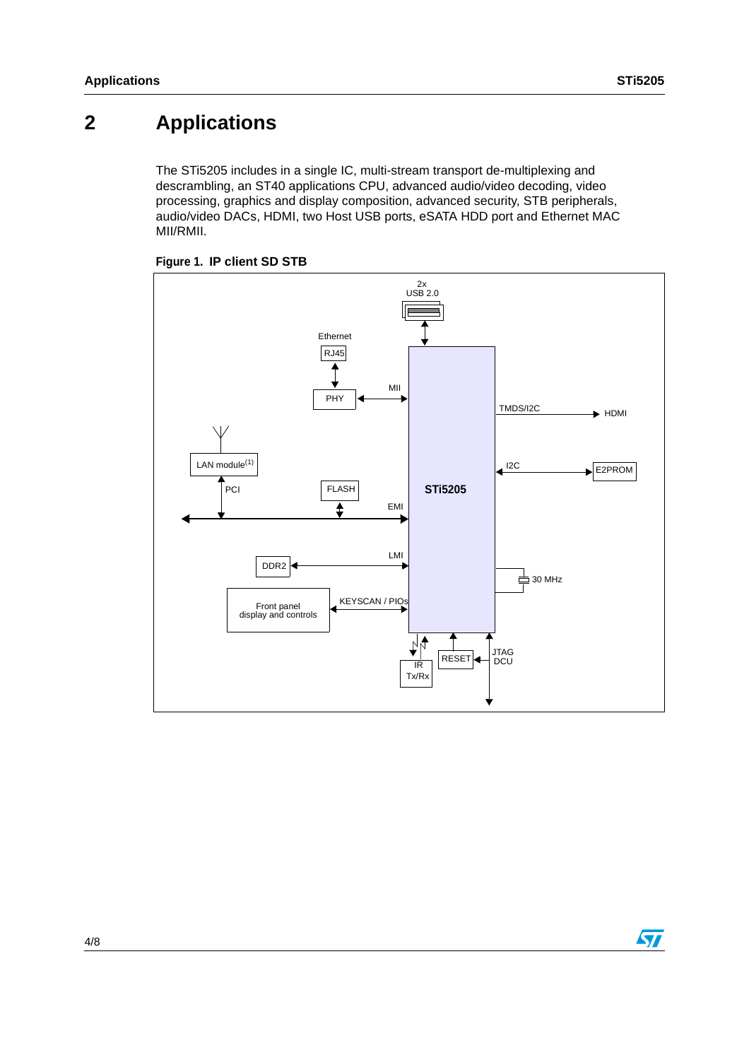# **2 Applications**

The STi5205 includes in a single IC, multi-stream transport de-multiplexing and descrambling, an ST40 applications CPU, advanced audio/video decoding, video processing, graphics and display composition, advanced security, STB peripherals, audio/video DACs, HDMI, two Host USB ports, eSATA HDD port and Ethernet MAC MII/RMII.



### **Figure 1. IP client SD STB**

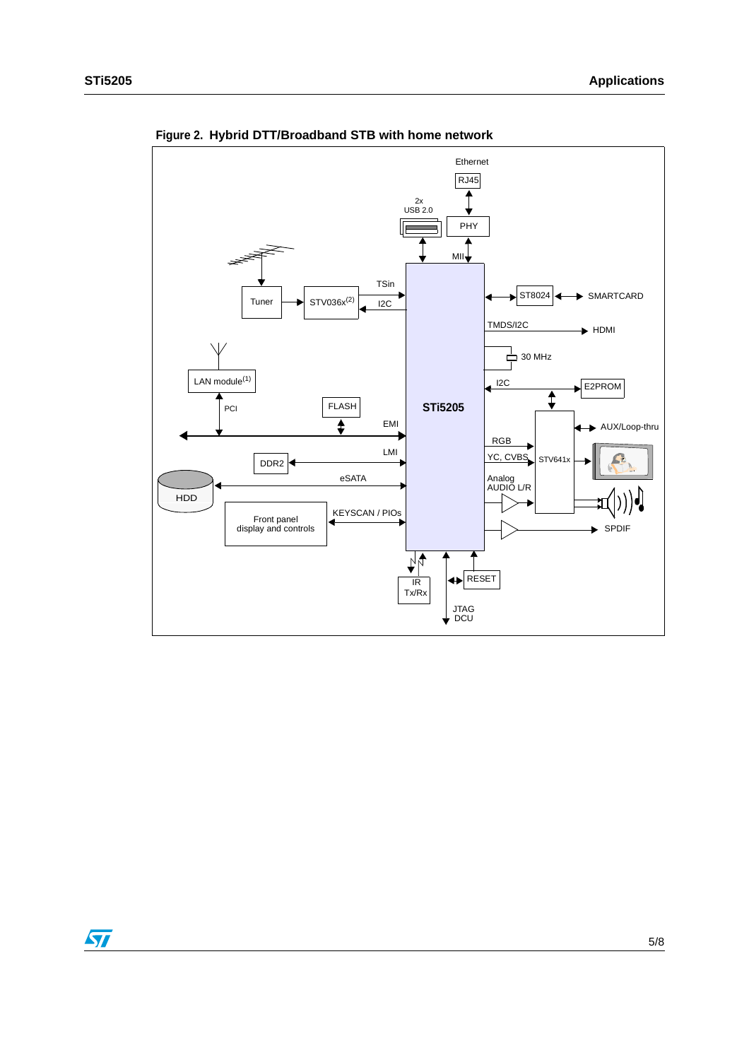

**Figure 2. Hybrid DTT/Broadband STB with home network**

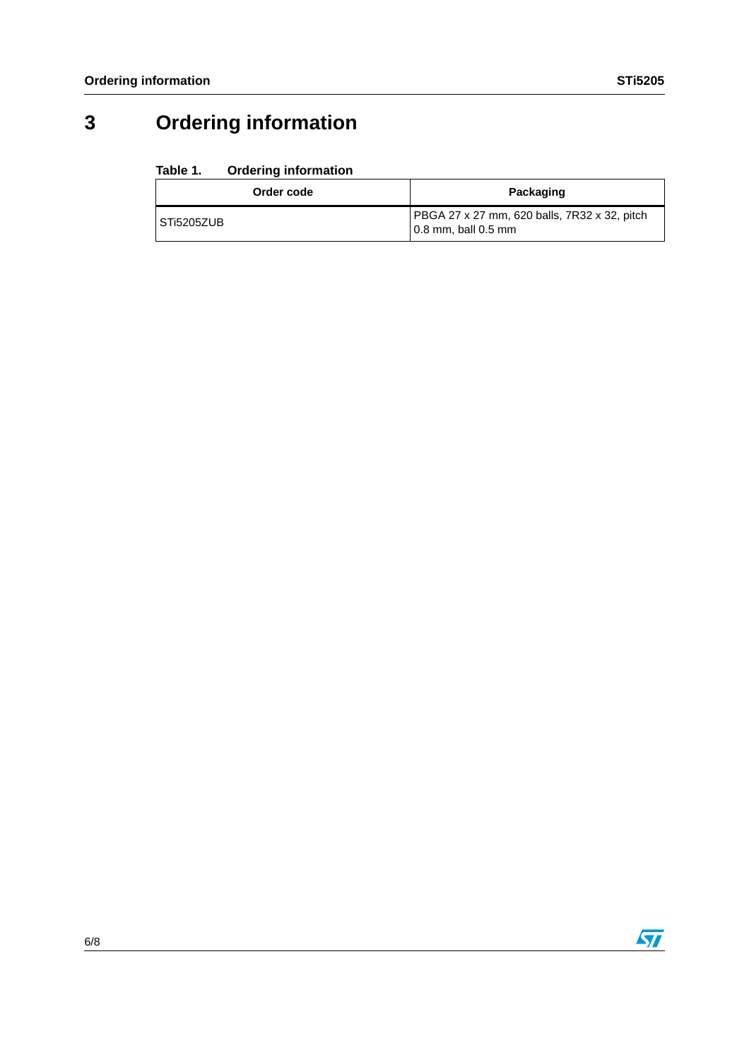# **3 Ordering information**

### **Table 1. Ordering information**

| Order code | Packaging                                                                             |
|------------|---------------------------------------------------------------------------------------|
| STi5205ZUB | <b>PBGA 27 x 27 mm, 620 balls, 7R32 x 32, pitch</b><br>$\sqrt{0.8}$ mm, ball $0.5$ mm |

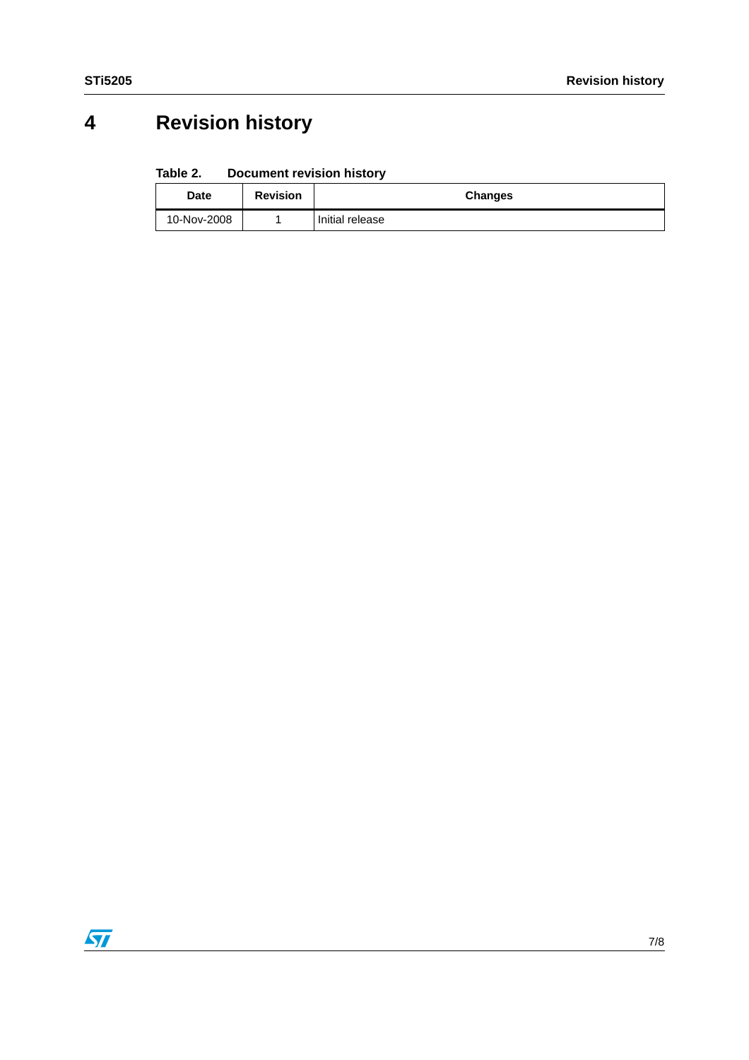# **4 Revision history**

#### Table 2. **Document revision history**

| <b>Date</b> | <b>Revision</b> | Changes         |
|-------------|-----------------|-----------------|
| 10-Nov-2008 |                 | Initial release |